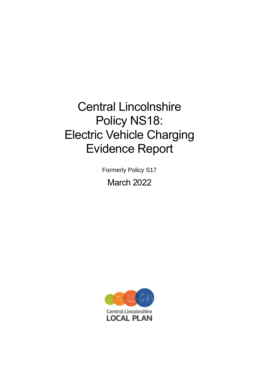# Central Lincolnshire Policy NS18: Electric Vehicle Charging Evidence Report

Formerly Policy S17

March 2022

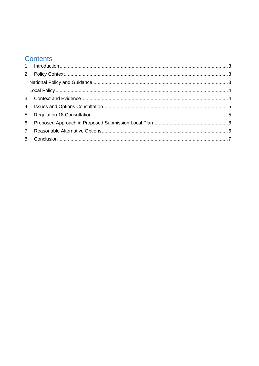# **Contents**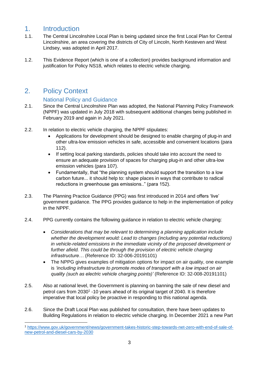## <span id="page-2-0"></span>1. Introduction

- 1.1. The Central Lincolnshire Local Plan is being updated since the first Local Plan for Central Lincolnshire, an area covering the districts of City of Lincoln, North Kesteven and West Lindsey, was adopted in April 2017.
- 1.2. This Evidence Report (which is one of a collection) provides background information and justification for Policy NS18, which relates to electric vehicle charging.

## <span id="page-2-1"></span>2. Policy Context

#### National Policy and Guidance

- <span id="page-2-2"></span>2.1. Since the Central Lincolnshire Plan was adopted, the National Planning Policy Framework (NPPF) was updated in July 2018 with subsequent additional changes being published in February 2019 and again in July 2021.
- 2.2. In relation to electric vehicle charging, the NPPF stipulates:
	- Applications for development should be designed to enable charging of plug-in and other ultra-low emission vehicles in safe, accessible and convenient locations (para 112).
	- If setting local parking standards, policies should take into account the need to ensure an adequate provision of spaces for charging plug-in and other ultra-low emission vehicles (para 107).
	- Fundamentally, that "the planning system should support the transition to a low carbon future... it should help to: shape places in ways that contribute to radical reductions in greenhouse gas emissions.." (para 152).
- 2.3. The Planning Practice Guidance (PPG) was first introduced in 2014 and offers 'live' government guidance. The PPG provides guidance to help in the implementation of policy in the NPPF.
- 2.4. PPG currently contains the following guidance in relation to electric vehicle charging:
	- *Considerations that may be relevant to determining a planning application include whether the development would: Lead to changes (including any potential reductions) in vehicle-related emissions in the immediate vicinity of the proposed development or further afield. This could be through the provision of electric vehicle charging infrastructure…* (Reference ID: 32-006-20191101)
	- The NPPG gives examples of mitigation options for impact on air quality, one example is *'including infrastructure to promote modes of transport with a low impact on air quality (such as electric vehicle charging points)'* (Reference ID: 32-008-20191101)
- 2.5. Also at national level, the Government is planning on banning the sale of new diesel and petrol cars from 2030<sup>1</sup> -10 years ahead of its original target of 2040. It is therefore imperative that local policy be proactive in responding to this national agenda.
- 2.6. Since the Draft Local Plan was published for consultation, there have been updates to Building Regulations in relation to electric vehicle charging. In December 2021 a new Part

<sup>1</sup> [https://www.gov.uk/government/news/government-takes-historic-step-towards-net-zero-with-end-of-sale-of](https://www.gov.uk/government/news/government-takes-historic-step-towards-net-zero-with-end-of-sale-of-new-petrol-and-diesel-cars-by-2030)[new-petrol-and-diesel-cars-by-2030](https://www.gov.uk/government/news/government-takes-historic-step-towards-net-zero-with-end-of-sale-of-new-petrol-and-diesel-cars-by-2030)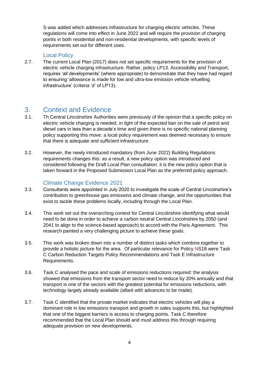S was added which addresses Infrastructure for charging electric vehicles. These regulations will come into effect in June 2022 and will require the provision of charging points in both residential and non-residential developments, with specific levels of requirements set out for different uses.

#### Local Policy

<span id="page-3-0"></span>2.7. The current Local Plan (2017) does not set specific requirements for the provision of electric vehicle charging infrastructure. Rather, policy LP13, Accessibility and Transport, requires 'all developments' (where appropriate) to demonstrate that they have had regard to ensuring 'allowance is made for low and ultra-low emission vehicle refuelling infrastructure' (criteria 'd' of LP13).

## <span id="page-3-1"></span>3. Context and Evidence

- 3.1. Th Central Lincolnshire Authorities were previously of the opinion that a specific policy on electric vehicle charging is needed, in light of the expected ban on the sale of petrol and diesel cars in less than a decade's time and given there is no specific national planning policy supporting this move: a local policy requirement was deemed necessary to ensure that there is adequate and sufficient infrastructure.
- 3.2. However, the newly introduced mandatory (from June 2022) Building Regulations requirements changes this: as a result, a new policy option was introduced and considered following the Draft Local Plan consultation: it is the new policy option that is taken forward in the Proposed Submission Local Plan as the preferred policy approach.

#### Climate Change Evidence 2021

- 3.3. Consultants were appointed in July 2020 to investigate the scale of Central Lincolnshire's contribution to greenhouse gas emissions and climate change, and the opportunities that exist to tackle these problems locally, including through the Local Plan.
- 3.4. This work set out the overarching context for Central Lincolnshire identifying what would need to be done in order to achieve a carbon neutral Central Lincolnshire by 2050 (and 2041 to align to the science-based approach) to accord with the Paris Agreement. This research painted a very challenging picture to achieve these goals.
- 3.5. This work was broken down into a number of distinct tasks which combine together to provide a holistic picture for the area. Of particular relevance for Policy NS18 were Task C Carbon Reduction Targets Policy Recommendations and Task E Infrastructure Requirements.
- 3.6. Task C analysed the pace and scale of emissions reductions required: the analysis showed that emissions from the transport sector need to reduce by 20% annually and that transport is one of the sectors with the greatest potential for emissions reductions, with technology largely already available (albeit with advances to be made).
- 3.7. Task C identified that the private market indicates that electric vehicles will play a dominant role in low emissions transport and growth in sales supports this, but highlighted that one of the biggest barriers is access to charging points. Task C therefore recommended that the Local Plan should and must address this through requiring adequate provision on new developments.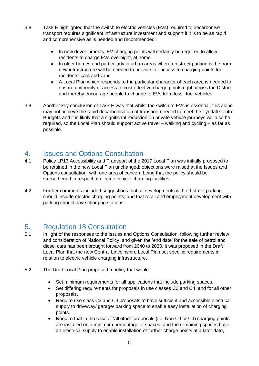- 3.8. Task E highlighted that the switch to electric vehicles (EVs) required to decarbonise transport requires significant infrastructure investment and support if it is to be as rapid and comprehensive as is needed and recommended:
	- In new developments, EV charging points will certainly be required to allow residents to charge EVs overnight, at home.
	- In older homes and particularly in urban areas where on street parking is the norm, new infrastructure will be needed to provide fair access to charging points for residents' cars and vans.
	- A Local Plan which responds to the particular character of each area is needed to ensure uniformity of access to cost effective charge points right across the District and thereby encourage people to change to EVs from fossil fuel vehicles.
- 3.9. Another key conclusion of Task E was that whilst the switch to EVs is essential, this alone may not achieve the rapid decarbonisation of transport needed to meet the Tyndall Centre Budgets and it is likely that a significant reduction on private vehicle journeys will also be required, so the Local Plan should support active travel – walking and cycling – as far as possible.

## <span id="page-4-0"></span>4. Issues and Options Consultation

- 4.1. Policy LP13 Accessibility and Transport of the 2017 Local Plan was initially proposed to be retained in the new Local Plan unchanged: objections were raised at the Issues and Options consultation, with one area of concern being that the policy should be strengthened in respect of electric vehicle charging facilities.
- 4.2. Further comments included suggestions that all developments with off-street parking should include electric charging points; and that retail and employment development with parking should have charging stations.

# <span id="page-4-1"></span>5. Regulation 18 Consultation

- 5.1. In light of the responses to the Issues and Options Consultation, following further review and consideration of National Policy, and given the 'end date' for the sale of petrol and diesel cars has been brought forward from 2040 to 2030, it was proposed in the Draft Local Plan that the new Central Lincolnshire Local Plan set specific requirements in relation to electric vehicle charging infrastructure.
- 5.2. The Draft Local Plan proposed a policy that would:
	- Set minimum requirements for all applications that include parking spaces.
	- Set differing requirements for proposals in use classes C3 and C4, and for all other proposals.
	- Require use class C3 and C4 proposals to have sufficient and accessible electrical supply to driveway/ garage/ parking space to enable easy installation of charging points.
	- Require that in the case of 'all other' proposals (i.e. Non C3 or C4) charging points are installed on a minimum percentage of spaces, and the remaining spaces have an electrical supply to enable installation of further charge points at a later date,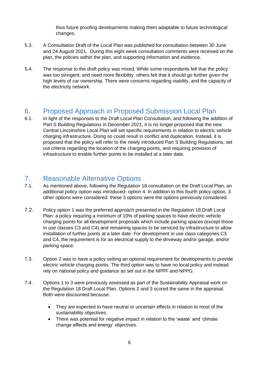thus future proofing developments making them adaptable to future technological changes.

- 5.3. A Consultation Draft of the Local Plan was published for consultation between 30 June and 24 August 2021. During this eight week consultation comments were received on the plan, the policies within the plan, and supporting information and evidence.
- 5.4. The response to the draft policy was mixed. While some respondents felt that the policy was too stringent, and need more flexibility, others felt that it should go further given the high levels of car ownership. There were concerns regarding viability, and the capacity of the electricity network.

# <span id="page-5-0"></span>6. Proposed Approach in Proposed Submission Local Plan

6.1. In light of the responses to the Draft Local Plan Consultation, and following the addition of Part S Building Regulations in December 2021, it is no longer proposed that the new Central Lincolnshire Local Plan will set specific requirements in relation to electric vehicle charging infrastructure. Doing so could result in conflict and duplication. Instead, it is proposed that the policy will refer to the newly introduced Part S Building Regulations, set out criteria regarding the location of the charging points, and requiring provision of infrastructure to enable further points to be installed at a later date.

# <span id="page-5-1"></span>7. Reasonable Alternative Options

- 7.1. As mentioned above, following the Regulation 18 consultation on the Draft Local Plan, an additional policy option was introduced- option 4. In addition to this fourth policy option, 3 other options were considered: these 3 options were the options previously considered.
- 7.2. Policy option 1 was the preferred approach presented in the Regulation 18 Draft Local Plan: a policy requiring a minimum of 10% of parking spaces to have electric vehicle charging points for all development proposals which include parking spaces (except those in use classes C3 and C4) and remaining spaces to be serviced by infrastructure to allow installation of further points at a later date. For development in use class categories C3 and C4, the requirement is for an electrical supply to the driveway and/or garage, and/or parking space.
- 7.3. Option 2 was to have a policy setting an optional requirement for developments to provide electric vehicle charging points. The third option was to have no local policy and instead rely on national policy and guidance as set out in the NPPF and NPPG.
- 7.4. Options 1 to 3 were previously assessed as part of the Sustainability Appraisal work on the Regulation 18 Draft Local Plan. Options 2 and 3 scored the same in the appraisal. Both were discounted because:
	- They are expected to have neutral or uncertain effects in relation to most of the sustainability objectives.
	- There was potential for negative impact in relation to the 'waste' and 'climate change effects and energy' objectives.